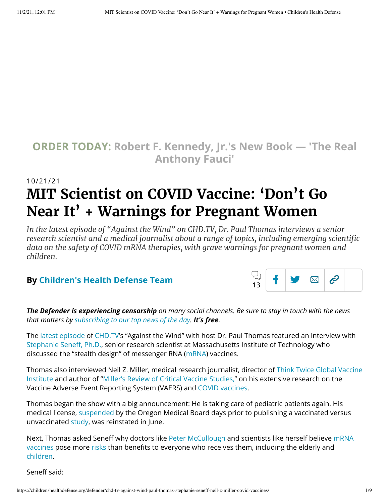## **ORDER TODAY: Robert F. [Kennedy,](https://www.amazon.com/Real-Anthony-Fauci-Democracy-Childrens/dp/1510766804) Jr.'s New Book — 'The Real Anthony Fauci'**

# 10/21/21 **MIT Scientist on COVID Vaccine: 'Don't Go Near It' + Warnings for Pregnant Women**

*In the latest episode of "Against the Wind" on CHD.TV, Dr. Paul Thomas interviews a senior research scientist and a medical journalist about a range of topics, including emerging scientific data on the safety of COVID mRNA therapies, with grave warnings for pregnant women and children.*

#### **By Children's Health [Defense Team](https://childrenshealthdefense.org/authors/childrens-health-defense-team/)**



*The Defender is experiencing censorship on many social channels. Be sure to stay in touch with the news that matters by [subscribing](https://childrenshealthdefense.org/about-us/sign-up/?utm_source=top_of_article&utm_medium=the_defender&utm_campaign=sign_ups) to our top news of the day. It's free.*

The latest [episode](https://live.childrenshealthdefense.org/shows/against-the-wind-with-dr-paul-thomas/w37zKMCOxY) of [CHD.TV](https://live.childrenshealthdefense.org/)'s "Against the Wind" with host Dr. Paul Thomas featured an interview with [Stephanie](https://www.csail.mit.edu/person/stephanie-seneff) Seneff, Ph.D., senior research scientist at Massachusetts Institute of Technology who discussed the "stealth design" of messenger RNA ([mRNA\)](https://childrenshealthdefense.org/news/editorial/an-mrna-vaccine-against-sars-cov-2-preliminary-report-a-researcher-reacts/) vaccines.

Thomas also [interviewed Neil](http://www.thinktwice.com/aboutus.htm) Z. Miller, medical research journalist, director of Think Twice Global Vaccine Institute and author of "Miller's Review of Critical Vaccine [Studies,"](https://www.amazon.com/Millers-Review-Critical-Vaccine-Studies/dp/188121740X) on his extensive research on the Vaccine Adverse Event Reporting System (VAERS) and COVID [vaccines](https://childrenshealthdefense.org/defender_category/covid/).

Thomas began the show with a big announcement: He is taking care of pediatric patients again. His medical license, [suspended b](https://childrenshealthdefense.org/defender/state-medical-board-shut-down-dr-paul-thomas-pediatrician/)y the Oregon Medical Board days prior to publishing a vaccinated versus unvaccinated [study](https://pubmed.ncbi.nlm.nih.gov/33266457/), was reinstated in June.

Next, Thomas asked Seneff why doctors like Peter [McCullough](https://childrenshealthdefense.org/defender/doctors-scientists-brian-hooker-peter-mccullough-covid-treatments/) [and scientists](https://childrenshealthdefense.org/news/editorial/an-mrna-vaccine-against-sars-cov-2-preliminary-report-a-researcher-reacts/) like herself believe mRNA vaccines pose more [risks](https://childrenshealthdefense.org/defender/covid-vaccine-candidates-safety-concerns/) than benefits to everyone who receives them, including the elderly and [children.](https://childrenshealthdefense.org/defender/kids-benefits-covid-vaccine-dont-outweigh-risks/)

Seneff said: